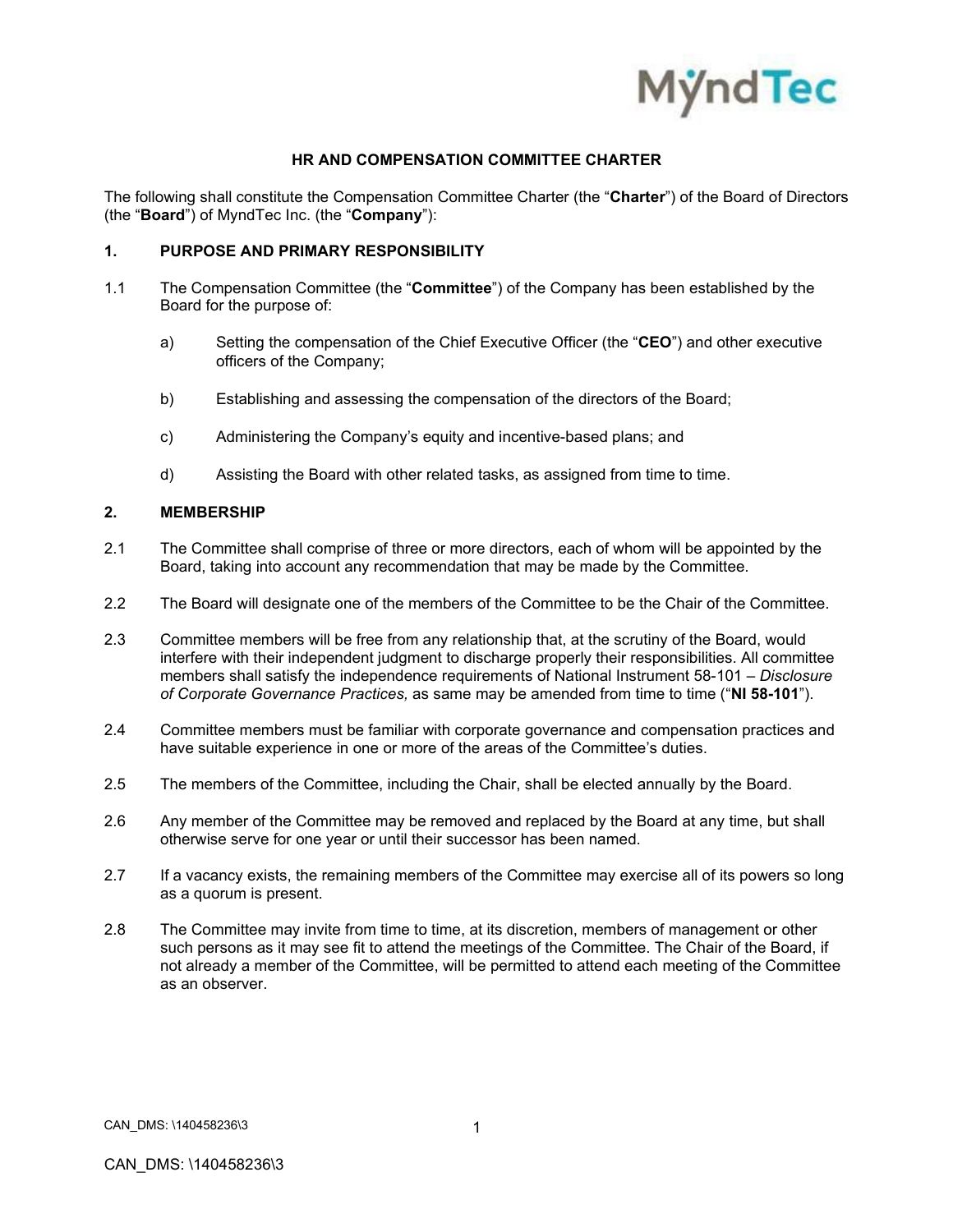

### **HR AND COMPENSATION COMMITTEE CHARTER**

The following shall constitute the Compensation Committee Charter (the "**Charter**") of the Board of Directors (the "**Board**") of MyndTec Inc. (the "**Company**"):

### **1. PURPOSE AND PRIMARY RESPONSIBILITY**

- 1.1 The Compensation Committee (the "**Committee**") of the Company has been established by the Board for the purpose of:
	- a) Setting the compensation of the Chief Executive Officer (the "**CEO**") and other executive officers of the Company;
	- b) Establishing and assessing the compensation of the directors of the Board;
	- c) Administering the Company's equity and incentive-based plans; and
	- d) Assisting the Board with other related tasks, as assigned from time to time.

# **2. MEMBERSHIP**

- 2.1 The Committee shall comprise of three or more directors, each of whom will be appointed by the Board, taking into account any recommendation that may be made by the Committee.
- 2.2 The Board will designate one of the members of the Committee to be the Chair of the Committee.
- 2.3 Committee members will be free from any relationship that, at the scrutiny of the Board, would interfere with their independent judgment to discharge properly their responsibilities. All committee members shall satisfy the independence requirements of National Instrument 58-101 – *Disclosure of Corporate Governance Practices,* as same may be amended from time to time ("**NI 58-101**").
- 2.4 Committee members must be familiar with corporate governance and compensation practices and have suitable experience in one or more of the areas of the Committee's duties.
- 2.5 The members of the Committee, including the Chair, shall be elected annually by the Board.
- 2.6 Any member of the Committee may be removed and replaced by the Board at any time, but shall otherwise serve for one year or until their successor has been named.
- 2.7 If a vacancy exists, the remaining members of the Committee may exercise all of its powers so long as a quorum is present.
- 2.8 The Committee may invite from time to time, at its discretion, members of management or other such persons as it may see fit to attend the meetings of the Committee. The Chair of the Board, if not already a member of the Committee, will be permitted to attend each meeting of the Committee as an observer.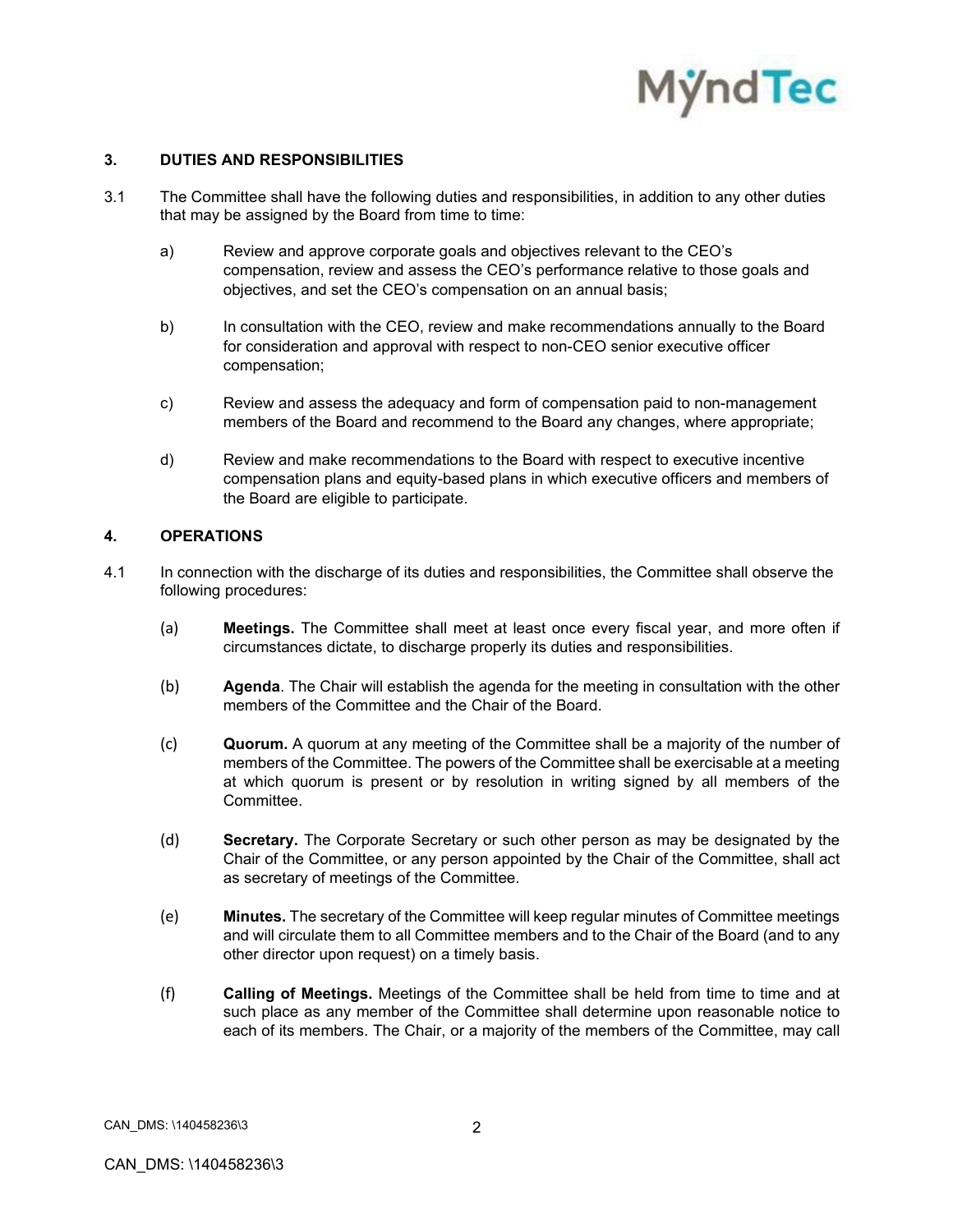

### **3. DUTIES AND RESPONSIBILITIES**

- 3.1 The Committee shall have the following duties and responsibilities, in addition to any other duties that may be assigned by the Board from time to time:
	- a) Review and approve corporate goals and objectives relevant to the CEO's compensation, review and assess the CEO's performance relative to those goals and objectives, and set the CEO's compensation on an annual basis;
	- b) In consultation with the CEO, review and make recommendations annually to the Board for consideration and approval with respect to non-CEO senior executive officer compensation;
	- c) Review and assess the adequacy and form of compensation paid to non-management members of the Board and recommend to the Board any changes, where appropriate;
	- d) Review and make recommendations to the Board with respect to executive incentive compensation plans and equity-based plans in which executive officers and members of the Board are eligible to participate.

# **4. OPERATIONS**

- 4.1 In connection with the discharge of its duties and responsibilities, the Committee shall observe the following procedures:
	- (a) **Meetings.** The Committee shall meet at least once every fiscal year, and more often if circumstances dictate, to discharge properly its duties and responsibilities.
	- (b) **Agenda**. The Chair will establish the agenda for the meeting in consultation with the other members of the Committee and the Chair of the Board.
	- (c) **Quorum.** A quorum at any meeting of the Committee shall be a majority of the number of members of the Committee. The powers of the Committee shall be exercisable at a meeting at which quorum is present or by resolution in writing signed by all members of the Committee.
	- (d) **Secretary.** The Corporate Secretary or such other person as may be designated by the Chair of the Committee, or any person appointed by the Chair of the Committee, shall act as secretary of meetings of the Committee.
	- (e) **Minutes.** The secretary of the Committee will keep regular minutes of Committee meetings and will circulate them to all Committee members and to the Chair of the Board (and to any other director upon request) on a timely basis.
	- (f) **Calling of Meetings.** Meetings of the Committee shall be held from time to time and at such place as any member of the Committee shall determine upon reasonable notice to each of its members. The Chair, or a majority of the members of the Committee, may call